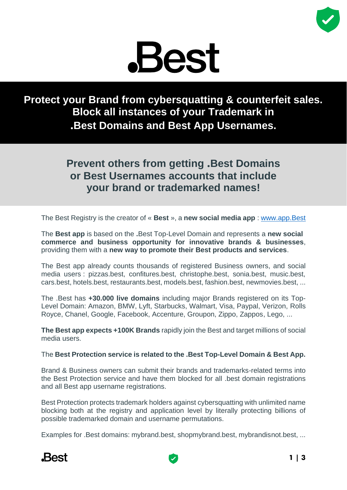

**Protect your Brand from cybersquatting & counterfeit sales. Block all instances of your Trademark in .Best Domains and Best App Usernames.**

# **Prevent others from getting .Best Domains or Best Usernames accounts that include your brand or trademarked names!**

The Best Registry is the creator of « **Best** », a **new social media app** : [www.app.Best](http://www.app.best/)

The **Best app** is based on the **.**Best Top-Level Domain and represents a **new social commerce and business opportunity for innovative brands & businesses**, providing them with a **new way to promote their Best products and services**.

The Best app already counts thousands of registered Business owners, and social media users : pizzas.best, confitures.best, christophe.best, sonia.best, music.best, cars.best, hotels.best, restaurants.best, models.best, fashion.best, newmovies.best, ...

The .Best has **+30.000 live domains** including major Brands registered on its Top-Level Domain: Amazon, BMW, Lyft, Starbucks, Walmart, Visa, Paypal, Verizon, Rolls Royce, Chanel, Google, Facebook, Accenture, Groupon, Zippo, Zappos, Lego, ...

**The Best app expects +100K Brands** rapidly join the Best and target millions of social media users.

## The **Best Protection service is related to the .Best Top-Level Domain & Best App.**

Brand & Business owners can submit their brands and trademarks-related terms into the Best Protection service and have them blocked for all .best domain registrations and all Best app username registrations.

Best Protection protects trademark holders against cybersquatting with unlimited name blocking both at the registry and application level by literally protecting billions of possible trademarked domain and username permutations.

Examples for .Best domains: mybrand.best, shopmybrand.best, mybrandisnot.best, ...



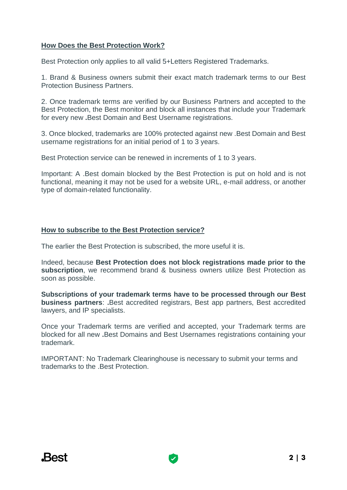#### **How Does the Best Protection Work?**

Best Protection only applies to all valid 5+Letters Registered Trademarks.

1. Brand & Business owners submit their exact match trademark terms to our Best Protection Business Partners.

2. Once trademark terms are verified by our Business Partners and accepted to the Best Protection, the Best monitor and block all instances that include your Trademark for every new **.**Best Domain and Best Username registrations.

3. Once blocked, trademarks are 100% protected against new .Best Domain and Best username registrations for an initial period of 1 to 3 years.

Best Protection service can be renewed in increments of 1 to 3 years.

Important: A .Best domain blocked by the Best Protection is put on hold and is not functional, meaning it may not be used for a website URL, e-mail address, or another type of domain-related functionality.

#### **How to subscribe to the Best Protection service?**

The earlier the Best Protection is subscribed, the more useful it is.

Indeed, because **Best Protection does not block registrations made prior to the subscription**, we recommend brand & business owners utilize Best Protection as soon as possible.

**Subscriptions of your trademark terms have to be processed through our Best business partners**: **.**Best accredited registrars, Best app partners, Best accredited lawyers, and IP specialists.

Once your Trademark terms are verified and accepted, your Trademark terms are blocked for all new **.**Best Domains and Best Usernames registrations containing your trademark.

IMPORTANT: No Trademark Clearinghouse is necessary to submit your terms and trademarks to the .Best Protection.